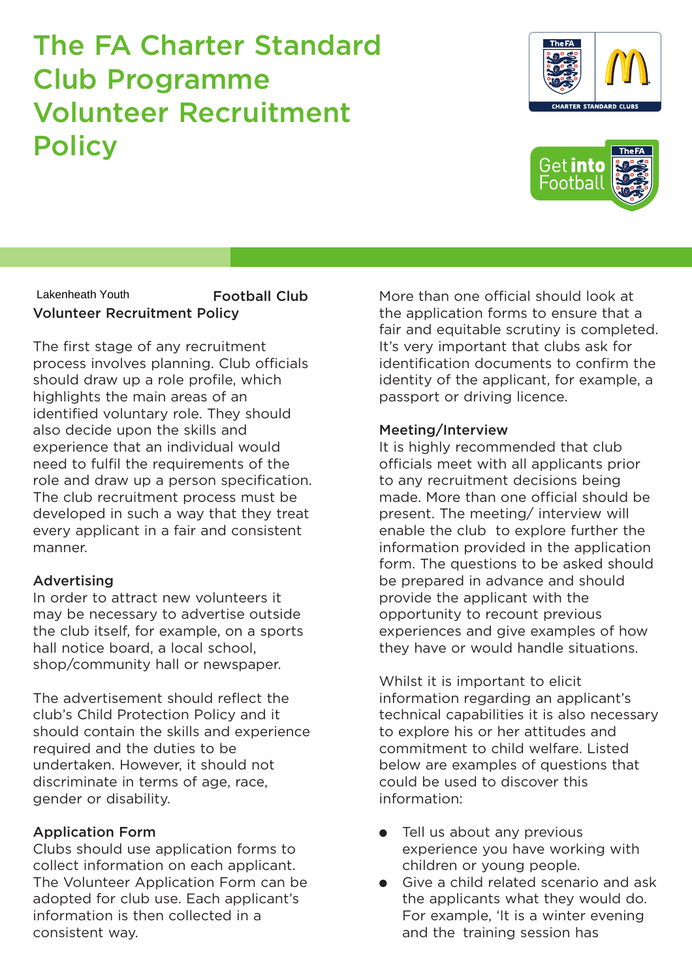# The FA Charter Standard Club Programme Volunteer Recruitment **Policy**

More than one official should look at the application forms to ensure that a fair and equitable scrutiny is completed. It's very important that clubs ask for identification documents to confirm the identity of the applicant, for example, a passport or driving licence.

#### Meeting/Interview

It is highly recommended that club officials meet with all applicants prior to any recruitment decisions being made. More than one official should be present. The meeting/ interview will enable the club to explore further the information provided in the application form. The questions to be asked should be prepared in advance and should provide the applicant with the opportunity to recount previous experiences and give examples of how they have or would handle situations.

Whilst it is important to elicit information regarding an applicant's technical capabilities it is also necessary to explore his or her attitudes and commitment to child welfare. Listed below are examples of questions that could be used to discover this information:

- Tell us about any previous experience you have working with children or young people.
- Give a child related scenario and ask the applicants what they would do. For example, 'It is a winter evening and the training session has

#### Football Club Volunteer Recruitment Policy Lakenheath Youth

The first stage of any recruitment process involves planning. Club officials should draw up a role profile, which highlights the main areas of an identified voluntary role. They should also decide upon the skills and experience that an individual would need to fulfil the requirements of the role and draw up a person specification. The club recruitment process must be developed in such a way that they treat every applicant in a fair and consistent manner.

### Advertising

In order to attract new volunteers it may be necessary to advertise outside the club itself, for example, on a sports hall notice board, a local school, shop/community hall or newspaper.

The advertisement should reflect the club's Child Protection Policy and it should contain the skills and experience required and the duties to be undertaken. However, it should not discriminate in terms of age, race, gender or disability.

### Application Form

Clubs should use application forms to collect information on each applicant. The Volunteer Application Form can be adopted for club use. Each applicant's information is then collected in a consistent way.



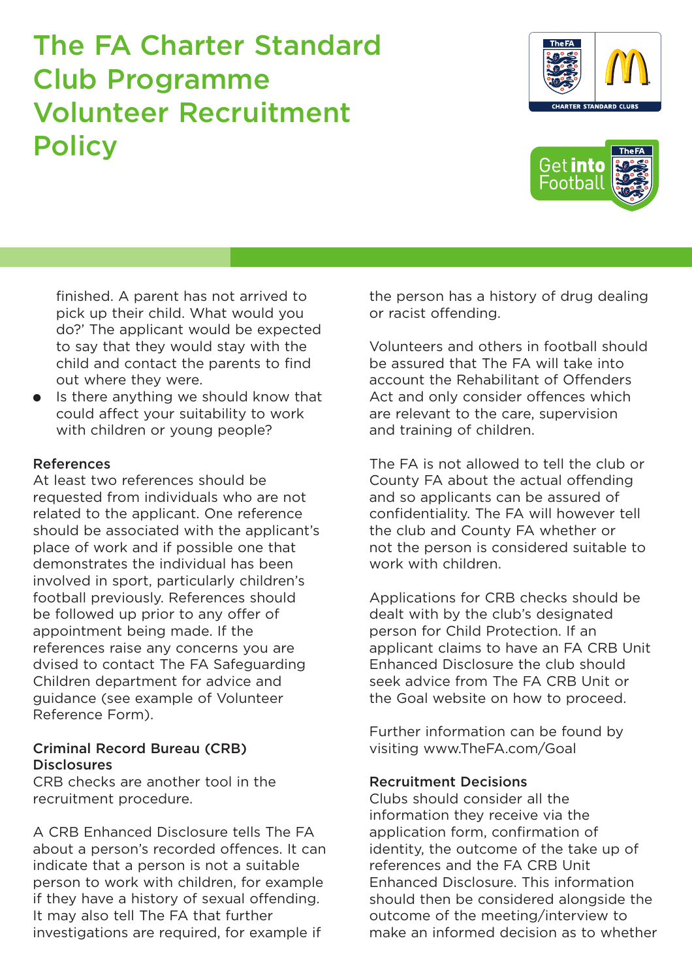# The FA Charter Standard Club Programme Volunteer Recruitment **Policy**

finished. A parent has not arrived to pick up their child. What would you do?' The applicant would be expected to say that they would stay with the child and contact the parents to find out where they were.

● Is there anything we should know that could affect your suitability to work with children or young people?

#### References

At least two references should be requested from individuals who are not related to the applicant. One reference should be associated with the applicant's place of work and if possible one that demonstrates the individual has been involved in sport, particularly children's football previously. References should be followed up prior to any offer of appointment being made. If the references raise any concerns you are dvised to contact The FA Safeguarding Children department for advice and guidance (see example of Volunteer Reference Form).

#### Criminal Record Bureau (CRB) **Disclosures**

CRB checks are another tool in the recruitment procedure.

A CRB Enhanced Disclosure tells The FA about a person's recorded offences. It can indicate that a person is not a suitable person to work with children, for example if they have a history of sexual offending. It may also tell The FA that further investigations are required, for example if

the person has a history of drug dealing or racist offending.

Volunteers and others in football should be assured that The FA will take into account the Rehabilitant of Offenders Act and only consider offences which are relevant to the care, supervision and training of children.

The FA is not allowed to tell the club or County FA about the actual offending and so applicants can be assured of confidentiality. The FA will however tell the club and County FA whether or not the person is considered suitable to work with children.

Applications for CRB checks should be dealt with by the club's designated person for Child Protection. If an applicant claims to have an FA CRB Unit Enhanced Disclosure the club should seek advice from The FA CRB Unit or the Goal website on how to proceed.

Further information can be found by visiting www.TheFA.com/Goal

#### Recruitment Decisions

Clubs should consider all the information they receive via the application form, confirmation of identity, the outcome of the take up of references and the FA CRB Unit Enhanced Disclosure. This information should then be considered alongside the outcome of the meeting/interview to make an informed decision as to whether